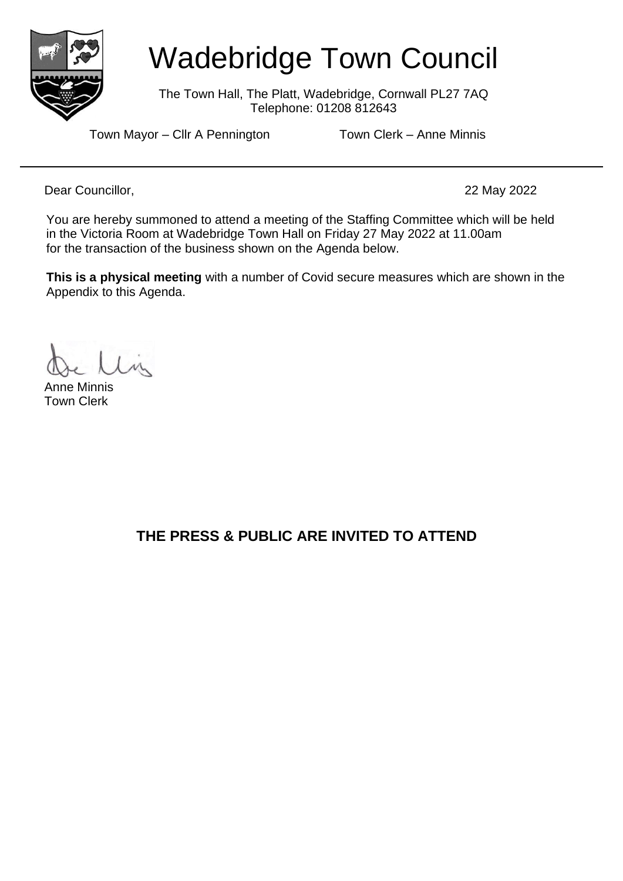

# Wadebridge Town Council

The Town Hall, The Platt, Wadebridge, Cornwall PL27 7AQ Telephone: 01208 812643

Town Mayor – Cllr A Pennington Town Clerk – Anne Minnis

Dear Councillor, 22 May 2022

You are hereby summoned to attend a meeting of the Staffing Committee which will be held in the Victoria Room at Wadebridge Town Hall on Friday 27 May 2022 at 11.00am for the transaction of the business shown on the Agenda below.

**This is a physical meeting** with a number of Covid secure measures which are shown in the Appendix to this Agenda.

Anne Minnis Town Clerk

**THE PRESS & PUBLIC ARE INVITED TO ATTEND**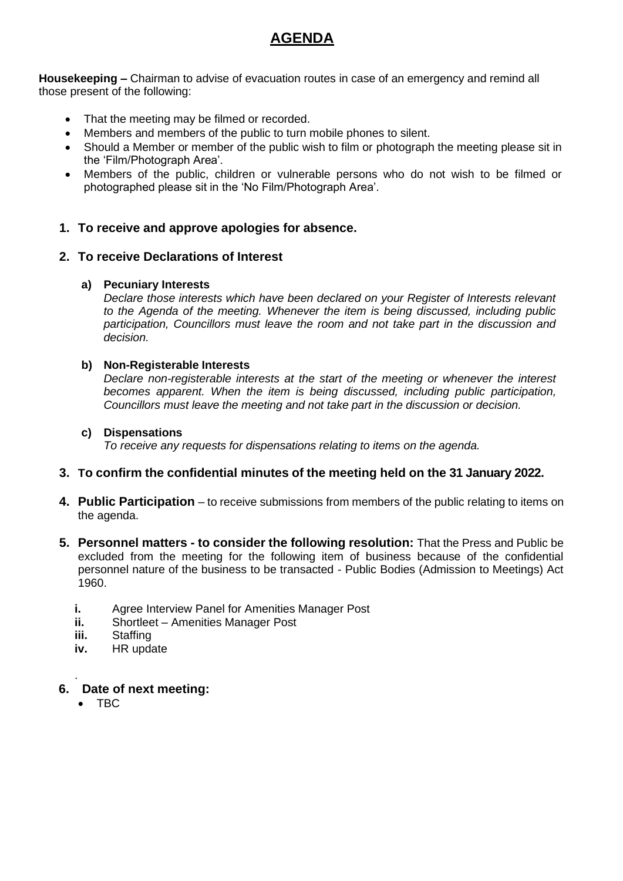## **AGENDA**

**Housekeeping –** Chairman to advise of evacuation routes in case of an emergency and remind all those present of the following:

- That the meeting may be filmed or recorded.
- Members and members of the public to turn mobile phones to silent.
- Should a Member or member of the public wish to film or photograph the meeting please sit in the 'Film/Photograph Area'.
- Members of the public, children or vulnerable persons who do not wish to be filmed or photographed please sit in the 'No Film/Photograph Area'.

## **1. To receive and approve apologies for absence.**

### **2. To receive Declarations of Interest**

#### **a) Pecuniary Interests**

*Declare those interests which have been declared on your Register of Interests relevant to the Agenda of the meeting. Whenever the item is being discussed, including public participation, Councillors must leave the room and not take part in the discussion and decision.*

#### **b) Non-Registerable Interests**

*Declare non-registerable interests at the start of the meeting or whenever the interest becomes apparent. When the item is being discussed, including public participation, Councillors must leave the meeting and not take part in the discussion or decision.*

#### **c) Dispensations**

*To receive any requests for dispensations relating to items on the agenda.*

#### **3. To confirm the confidential minutes of the meeting held on the 31 January 2022.**

- **4. Public Participation** to receive submissions from members of the public relating to items on the agenda.
- **5. Personnel matters - to consider the following resolution:** That the Press and Public be excluded from the meeting for the following item of business because of the confidential personnel nature of the business to be transacted - Public Bodies (Admission to Meetings) Act 1960.
	- **i.** Agree Interview Panel for Amenities Manager Post
	- **ii.** Shortleet Amenities Manager Post
	- **iii.** Staffing
	- **iv.** HR update

#### **6. Date of next meeting:**

• TBC

.